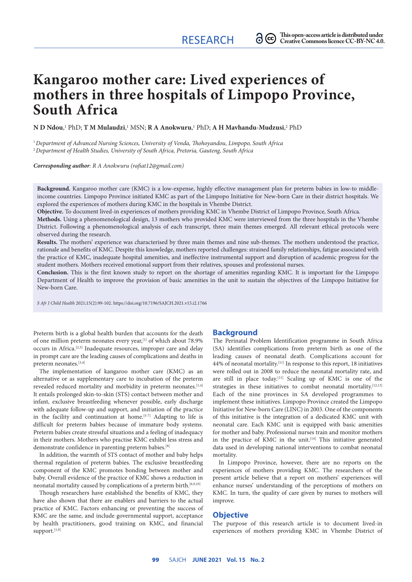# **Kangaroo mother care: Lived experiences of mothers in three hospitals of Limpopo Province, South Africa**

 ${\bf N}$  **D** Ndou,' PhD; T M Mulaudzi,' MSN; R A Anokwuru,' PhD; A H Mavhandu-Mudzusi,<sup>2</sup> PhD

<sup>1</sup>*Department of Advanced Nursing Sciences, University of Venda, Thohoyandou, Limpopo, South Africa* <sup>2</sup>*Department of Health Studies, University of South Africa, Pretoria, Gauteng, South Africa*

*Corresponding author: R A Anokwuru ([rafiat12@gmail.com\)](mailto:rafiat12@gmail.com)*

**Background.** Kangaroo mother care (KMC) is a low-expense, highly effective management plan for preterm babies in low-to middleincome countries. Limpopo Province initiated KMC as part of the Limpopo Initiative for New-born Care in their district hospitals. We explored the experiences of mothers during KMC in the hospitals in Vhembe District.

**Objective.** To document lived-in experiences of mothers providing KMC in Vhembe District of Limpopo Province, South Africa.

**Methods.** Using a phenomenological design, 13 mothers who provided KMC were interviewed from the three hospitals in the Vhembe District. Following a phenomenological analysis of each transcript, three main themes emerged. All relevant ethical protocols were observed during the research.

**Results.** The mothers' experience was characterised by three main themes and nine sub-themes. The mothers understood the practice, rationale and benefits of KMC. Despite this knowledge, mothers reported challenges: strained family relationships, fatigue associated with the practice of KMC, inadequate hospital amenities, and ineffective instrumental support and disruption of academic progress for the student mothers. Mothers received emotional support from their relatives, spouses and professional nurses.

**Conclusion.** This is the first known study to report on the shortage of amenities regarding KMC. It is important for the Limpopo Department of Health to improve the provision of basic amenities in the unit to sustain the objectives of the Limpopo Initiative for New-born Care.

*S Afr J Child Health* 2021;15(2):99-102. <https://doi.org/10.7196/SAJCH.2021.v15.i2.1766>

Preterm birth is a global health burden that accounts for the death of one million preterm neonates every year, [1] of which about 78.9% occurs in Africa.[2,3] Inadequate resources, improper care and delay in prompt care are the leading causes of complications and deaths in preterm neonates.[3,4]

The implementation of kangaroo mother care (KMC) as an alternative or as supplementary care to incubation of the preterm revealed reduced mortality and morbidity in preterm neonates.<sup>[1,4]</sup> It entails prolonged skin-to-skin (STS) contact between mother and infant, exclusive breastfeeding whenever possible, early discharge with adequate follow-up and support, and initiation of the practice in the facility and continuation at home.<sup>[5-7]</sup> Adapting to life is difficult for preterm babies because of immature body systems. Preterm babies create stressful situations and a feeling of inadequacy in their mothers. Mothers who practise KMC exhibit less stress and demonstrate confidence in parenting preterm babies.[8]

In addition, the warmth of STS contact of mother and baby helps thermal regulation of preterm babies. The exclusive breastfeeding component of the KMC promotes bonding between mother and baby. Overall evidence of the practice of KMC shows a reduction in neonatal mortality caused by complications of a preterm birth.<sup>[6,9,10]</sup>

Though researchers have established the benefits of KMC, they have also shown that there are enablers and barriers to the actual practice of KMC. Factors enhancing or preventing the success of KMC are the same, and include governmental support, acceptance by health practitioners, good training on KMC, and financial support.<sup>[1,9]</sup>

## **Background**

The Perinatal Problem Identification programme in South Africa (SA) identifies complications from preterm birth as one of the leading causes of neonatal death. Complications account for 44% of neonatal mortality.[11] In response to this report, 18 initiatives were rolled out in 2008 to reduce the neonatal mortality rate, and are still in place today.[11] Scaling up of KMC is one of the strategies in these initiatives to combat neonatal mortality.<sup>[12,13]</sup> Each of the nine provinces in SA developed programmes to implement these initiatives. Limpopo Province created the Limpopo Initiative for New-born Care (LINC) in 2003. One of the components of this initiative is the integration of a dedicated KMC unit with neonatal care. Each KMC unit is equipped with basic amenities for mother and baby. Professional nurses train and monitor mothers in the practice of KMC in the unit.<sup>[14]</sup> This initiative generated data used in developing national interventions to combat neonatal mortality.

In Limpopo Province, however, there are no reports on the experiences of mothers providing KMC. The researchers of the present article believe that a report on mothers' experiences will enhance nurses' understanding of the perceptions of mothers on KMC. In turn, the quality of care given by nurses to mothers will improve.

#### **Objective**

The purpose of this research article is to document lived-in experiences of mothers providing KMC in Vhembe District of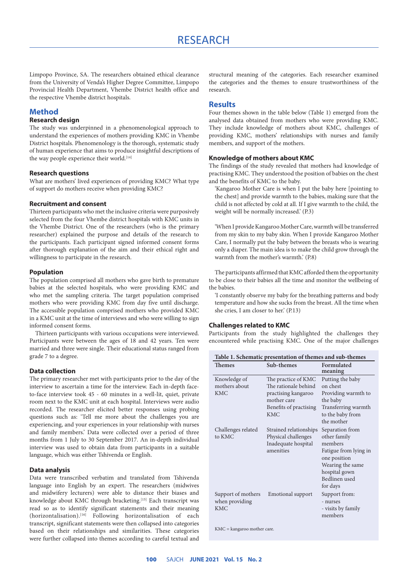Limpopo Province, SA. The researchers obtained ethical clearance from the University of Venda's Higher Degree Committee, Limpopo Provincial Health Department, Vhembe District health office and the respective Vhembe district hospitals.

## **Method**

## **Research design**

The study was underpinned in a phenomenological approach to understand the experiences of mothers providing KMC in Vhembe District hospitals. Phenomenology is the thorough, systematic study of human experience that aims to produce insightful descriptions of the way people experience their world.<sup>[14]</sup>

## **Research questions**

What are mothers' lived experiences of providing KMC? What type of support do mothers receive when providing KMC?

## **Recruitment and consent**

Thirteen participants who met the inclusive criteria were purposively selected from the four Vhembe district hospitals with KMC units in the Vhembe District. One of the researchers (who is the primary researcher) explained the purpose and details of the research to the participants. Each participant signed informed consent forms after thorough explanation of the aim and their ethical right and willingness to participate in the research.

## **Population**

The population comprised all mothers who gave birth to premature babies at the selected hospitals, who were providing KMC and who met the sampling criteria. The target population comprised mothers who were providing KMC from day five until discharge. The accessible population comprised mothers who provided KMC in a KMC unit at the time of interviews and who were willing to sign informed consent forms.

Thirteen participants with various occupations were interviewed. Participants were between the ages of 18 and 42 years. Ten were married and three were single. Their educational status ranged from grade 7 to a degree.

## **Data collection**

The primary researcher met with participants prior to the day of the interview to ascertain a time for the interview. Each in-depth faceto-face interview took 45 - 60 minutes in a well-lit, quiet, private room next to the KMC unit at each hospital. Interviews were audio recorded. The researcher elicited better responses using probing questions such as: 'Tell me more about the challenges you are experiencing, and your experiences in your relationship with nurses and family members.' Data were collected over a period of three months from 1 July to 30 September 2017. An in-depth individual interview was used to obtain data from participants in a suitable language, which was either Tshivenda or English.

## **Data analysis**

Data were transcribed verbatim and translated from Tshivenda language into English by an expert. The researchers (midwives and midwifery lecturers) were able to distance their biases and knowledge about KMC through bracketing.<sup>[15]</sup> Each transcript was read so as to identify significant statements and their meaning (horizontalisation).[16] Following horizontalisation of each transcript, significant statements were then collapsed into categories based on their relationships and similarities. These categories were further collapsed into themes according to careful textual and

structural meaning of the categories. Each researcher examined the categories and the themes to ensure trustworthiness of the research.

## **Results**

Four themes shown in the table below (Table 1) emerged from the analysed data obtained from mothers who were providing KMC. They include knowledge of mothers about KMC, challenges of providing KMC, mothers' relationships with nurses and family members, and support of the mothers.

## **Knowledge of mothers about KMC**

The findings of the study revealed that mothers had knowledge of practising KMC. They understood the position of babies on the chest and the benefits of KMC to the baby.

'Kangaroo Mother Care is when I put the baby here [pointing to the chest] and provide warmth to the babies, making sure that the child is not affected by cold at all. If I give warmth to the child, the weight will be normally increased.' (P.3)

'When I provide Kangaroo Mother Care, warmth will be transferred from my skin to my baby skin. When I provide Kangaroo Mother Care, I normally put the baby between the breasts who is wearing only a diaper. The main idea is to make the child grow through the warmth from the mother's warmth.' (P.8)

The participants affirmed that KMC afforded them the opportunity to be close to their babies all the time and monitor the wellbeing of the babies.

'I constantly observe my baby for the breathing patterns and body temperature and how she sucks from the breast. All the time when she cries, I am closer to her.' (P.13)

#### **Challenges related to KMC**

Participants from the study highlighted the challenges they encountered while practising KMC. One of the major challenges

| Table 1. Schematic presentation of themes and sub-themes |                                                                                                                           |                                                                                                                                                       |
|----------------------------------------------------------|---------------------------------------------------------------------------------------------------------------------------|-------------------------------------------------------------------------------------------------------------------------------------------------------|
| Themes                                                   | Sub-themes                                                                                                                | Formulated<br>meaning                                                                                                                                 |
| Knowledge of<br>mothers about<br><b>KMC</b>              | The practice of KMC<br>The rationale behind<br>practising kangaroo<br>mother care<br>Benefits of practising<br><b>KMC</b> | Putting the baby<br>on chest<br>Providing warmth to<br>the baby<br>Transferring warmth<br>to the baby from<br>the mother                              |
| Challenges related<br>to KMC                             | Strained relationships<br>Physical challenges<br>Inadequate hospital<br>amenities                                         | Separation from<br>other family<br>members<br>Fatigue from lying in<br>one position<br>Wearing the same<br>hospital gown<br>Bedlinen used<br>for days |
| Support of mothers<br>when providing<br><b>KMC</b>       | Emotional support                                                                                                         | Support from:<br>- nurses<br>- visits by family<br>members                                                                                            |

KMC = kangaroo mother care.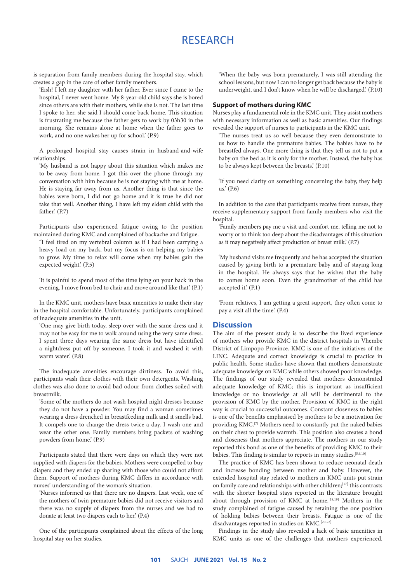is separation from family members during the hospital stay, which creates a gap in the care of other family members.

'Eish! I left my daughter with her father. Ever since I came to the hospital, I never went home. My 8-year-old child says she is bored since others are with their mothers, while she is not. The last time I spoke to her, she said I should come back home. This situation is frustrating me because the father gets to work by 03h30 in the morning. She remains alone at home when the father goes to work, and no one wakes her up for school.' (P.9)

A prolonged hospital stay causes strain in husband-and-wife relationships.

'My husband is not happy about this situation which makes me to be away from home. I got this over the phone through my conversation with him because he is not staying with me at home. He is staying far away from us. Another thing is that since the babies were born, I did not go home and it is true he did not take that well. Another thing, I have left my eldest child with the father.' (P.7)

Participants also experienced fatigue owing to the position maintained during KMC and complained of backache and fatigue.

''I feel tired on my vertebral column as if I had been carrying a heavy load on my back, but my focus is on helping my babies to grow. My time to relax will come when my babies gain the expected weight.' (P.5)

'It is painful to spend most of the time lying on your back in the evening. I move from bed to chair and move around like that.' (P.1)

In the KMC unit, mothers have basic amenities to make their stay in the hospital comfortable. Unfortunately, participants complained of inadequate amenities in the unit.

'One may give birth today, sleep over with the same dress and it may not be easy for me to walk around using the very same dress. I spent three days wearing the same dress but have identified a nightdress put off by someone, I took it and washed it with warm water.' (P.8)

The inadequate amenities encourage dirtiness. To avoid this, participants wash their clothes with their own detergents. Washing clothes was also done to avoid bad odour from clothes soiled with breastmilk.

'Some of the mothers do not wash hospital night dresses because they do not have a powder. You may find a woman sometimes wearing a dress drenched in breastfeeding milk and it smells bad. It compels one to change the dress twice a day. I wash one and wear the other one. Family members bring packets of washing powders from home.' (P.9)

Participants stated that there were days on which they were not supplied with diapers for the babies. Mothers were compelled to buy diapers and they ended up sharing with those who could not afford them. Support of mothers during KMC differs in accordance with nurses' understanding of the woman's situation.

'Nurses informed us that there are no diapers. Last week, one of the mothers of twin premature babies did not receive visitors and there was no supply of diapers from the nurses and we had to donate at least two diapers each to her.' (P.4)

One of the participants complained about the effects of the long hospital stay on her studies.

'When the baby was born prematurely, I was still attending the school lessons, but now I can no longer get back because the baby is underweight, and I don't know when he will be discharged.' (P.10)

#### **Support of mothers during KMC**

Nurses play a fundamental role in the KMC unit. They assist mothers with necessary information as well as basic amenities. Our findings revealed the support of nurses to participants in the KMC unit.

'The nurses treat us so well because they even demonstrate to us how to handle the premature babies. The babies have to be breastfed always. One more thing is that they tell us not to put a baby on the bed as it is only for the mother. Instead, the baby has to be always kept between the breasts.' (P.10)

'If you need clarity on something concerning the baby, they help us.' (P.6)

In addition to the care that participants receive from nurses, they receive supplementary support from family members who visit the hospital.

'Family members pay me a visit and comfort me, telling me not to worry or to think too deep about the disadvantages of this situation as it may negatively affect production of breast milk.' (P.7)

'My husband visits me frequently and he has accepted the situation caused by giving birth to a premature baby and of staying long in the hospital. He always says that he wishes that the baby to comes home soon. Even the grandmother of the child has accepted it.' (P.1)

'From relatives, I am getting a great support, they often come to pay a visit all the time.' (P.4)

## **Discussion**

The aim of the present study is to describe the lived experience of mothers who provide KMC in the district hospitals in Vhembe District of Limpopo Province. KMC is one of the initiatives of the LINC. Adequate and correct knowledge is crucial to practice in public health. Some studies have shown that mothers demonstrate adequate knowledge on KMC while others showed poor knowledge. The findings of our study revealed that mothers demonstrated adequate knowledge of KMC; this is important as insufficient knowledge or no knowledge at all will be detrimental to the provision of KMC by the mother. Provision of KMC in the right way is crucial to successful outcomes. Constant closeness to babies is one of the benefits emphasised by mothers to be a motivation for providing KMC.[7] Mothers need to constantly put the naked babies on their chest to provide warmth. This position also creates a bond and closeness that mothers appreciate. The mothers in our study reported this bond as one of the benefits of providing KMC to their babies. This finding is similar to reports in many studies.<sup>[5,6,10]</sup>

The practice of KMC has been shown to reduce neonatal death and increase bonding between mother and baby. However, the extended hospital stay related to mothers in KMC units put strain on family care and relationships with other children;<sup>[17]</sup> this contrasts with the shorter hospital stays reported in the literature brought about through provision of KMC at home.<sup>[18,19]</sup> Mothers in the study complained of fatigue caused by retaining the one position of holding babies between their breasts. Fatigue is one of the disadvantages reported in studies on KMC.<sup>[20-22]</sup>

Findings in the study also revealed a lack of basic amenities in KMC units as one of the challenges that mothers experienced.